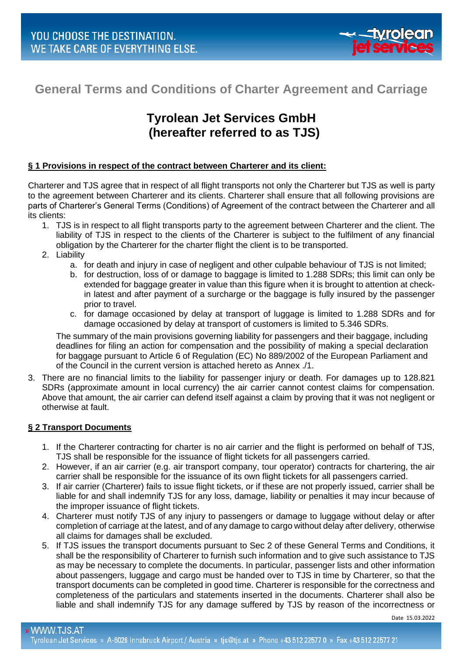

# **General Terms and Conditions of Charter Agreement and Carriage**

# **Tyrolean Jet Services GmbH (hereafter referred to as TJS)**

# **§ 1 Provisions in respect of the contract between Charterer and its client:**

Charterer and TJS agree that in respect of all flight transports not only the Charterer but TJS as well is party to the agreement between Charterer and its clients. Charterer shall ensure that all following provisions are parts of Charterer's General Terms (Conditions) of Agreement of the contract between the Charterer and all its clients:

- 1. TJS is in respect to all flight transports party to the agreement between Charterer and the client. The liability of TJS in respect to the clients of the Charterer is subject to the fulfilment of any financial obligation by the Charterer for the charter flight the client is to be transported.
- 2. Liability
	- a. for death and injury in case of negligent and other culpable behaviour of TJS is not limited;
	- b. for destruction, loss of or damage to baggage is limited to 1.288 SDRs; this limit can only be extended for baggage greater in value than this figure when it is brought to attention at checkin latest and after payment of a surcharge or the baggage is fully insured by the passenger prior to travel.
	- c. for damage occasioned by delay at transport of luggage is limited to 1.288 SDRs and for damage occasioned by delay at transport of customers is limited to 5.346 SDRs.

The summary of the main provisions governing liability for passengers and their baggage, including deadlines for filing an action for compensation and the possibility of making a special declaration for baggage pursuant to Article 6 of Regulation (EC) No 889/2002 of the European Parliament and of the Council in the current version is attached hereto as Annex ./1.

3. There are no financial limits to the liability for passenger injury or death. For damages up to 128.821 SDRs (approximate amount in local currency) the air carrier cannot contest claims for compensation. Above that amount, the air carrier can defend itself against a claim by proving that it was not negligent or otherwise at fault.

# **§ 2 Transport Documents**

- 1. If the Charterer contracting for charter is no air carrier and the flight is performed on behalf of TJS, TJS shall be responsible for the issuance of flight tickets for all passengers carried.
- 2. However, if an air carrier (e.g. air transport company, tour operator) contracts for chartering, the air carrier shall be responsible for the issuance of its own flight tickets for all passengers carried.
- 3. If air carrier (Charterer) fails to issue flight tickets, or if these are not properly issued, carrier shall be liable for and shall indemnify TJS for any loss, damage, liability or penalties it may incur because of the improper issuance of flight tickets.
- 4. Charterer must notify TJS of any injury to passengers or damage to luggage without delay or after completion of carriage at the latest, and of any damage to cargo without delay after delivery, otherwise all claims for damages shall be excluded.
- 5. If TJS issues the transport documents pursuant to Sec 2 of these General Terms and Conditions, it shall be the responsibility of Charterer to furnish such information and to give such assistance to TJS as may be necessary to complete the documents. In particular, passenger lists and other information about passengers, luggage and cargo must be handed over to TJS in time by Charterer, so that the transport documents can be completed in good time. Charterer is responsible for the correctness and completeness of the particulars and statements inserted in the documents. Charterer shall also be liable and shall indemnify TJS for any damage suffered by TJS by reason of the incorrectness or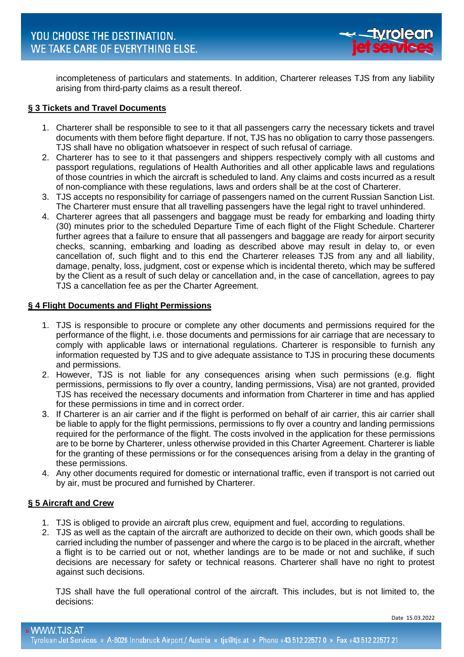

incompleteness of particulars and statements. In addition, Charterer releases TJS from any liability arising from third-party claims as a result thereof.

# **§ 3 Tickets and Travel Documents**

- 1. Charterer shall be responsible to see to it that all passengers carry the necessary tickets and travel documents with them before flight departure. If not, TJS has no obligation to carry those passengers. TJS shall have no obligation whatsoever in respect of such refusal of carriage.
- 2. Charterer has to see to it that passengers and shippers respectively comply with all customs and passport regulations, regulations of Health Authorities and all other applicable laws and regulations of those countries in which the aircraft is scheduled to land. Any claims and costs incurred as a result of non-compliance with these regulations, laws and orders shall be at the cost of Charterer.
- 3. TJS accepts no responsibility for carriage of passengers named on the current Russian Sanction List. The Charterer must ensure that all travelling passengers have the legal right to travel unhindered.
- 4. Charterer agrees that all passengers and baggage must be ready for embarking and loading thirty (30) minutes prior to the scheduled Departure Time of each flight of the Flight Schedule. Charterer further agrees that a failure to ensure that all passengers and baggage are ready for airport security checks, scanning, embarking and loading as described above may result in delay to, or even cancellation of, such flight and to this end the Charterer releases TJS from any and all liability, damage, penalty, loss, judgment, cost or expense which is incidental thereto, which may be suffered by the Client as a result of such delay or cancellation and, in the case of cancellation, agrees to pay TJS a cancellation fee as per the Charter Agreement.

# **§ 4 Flight Documents and Flight Permissions**

- 1. TJS is responsible to procure or complete any other documents and permissions required for the performance of the flight, i.e. those documents and permissions for air carriage that are necessary to comply with applicable laws or international regulations. Charterer is responsible to furnish any information requested by TJS and to give adequate assistance to TJS in procuring these documents and permissions.
- 2. However, TJS is not liable for any consequences arising when such permissions (e.g. flight permissions, permissions to fly over a country, landing permissions, Visa) are not granted, provided TJS has received the necessary documents and information from Charterer in time and has applied for these permissions in time and in correct order.
- 3. If Charterer is an air carrier and if the flight is performed on behalf of air carrier, this air carrier shall be liable to apply for the flight permissions, permissions to fly over a country and landing permissions required for the performance of the flight. The costs involved in the application for these permissions are to be borne by Charterer, unless otherwise provided in this Charter Agreement. Charterer is liable for the granting of these permissions or for the consequences arising from a delay in the granting of these permissions.
- 4. Any other documents required for domestic or international traffic, even if transport is not carried out by air, must be procured and furnished by Charterer.

# **§ 5 Aircraft and Crew**

- 1. TJS is obliged to provide an aircraft plus crew, equipment and fuel, according to regulations.
- 2. TJS as well as the captain of the aircraft are authorized to decide on their own, which goods shall be carried including the number of passenger and where the cargo is to be placed in the aircraft, whether a flight is to be carried out or not, whether landings are to be made or not and suchlike, if such decisions are necessary for safety or technical reasons. Charterer shall have no right to protest against such decisions.

TJS shall have the full operational control of the aircraft. This includes, but is not limited to, the decisions: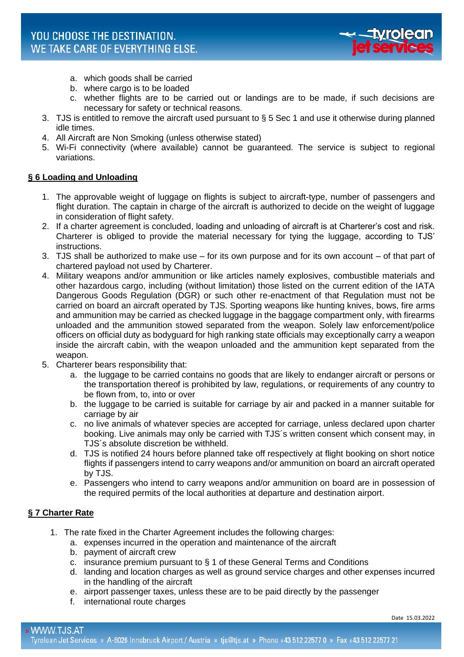

- a. which goods shall be carried
- b. where cargo is to be loaded
- c. whether flights are to be carried out or landings are to be made, if such decisions are necessary for safety or technical reasons.
- 3. TJS is entitled to remove the aircraft used pursuant to § 5 Sec 1 and use it otherwise during planned idle times.
- 4. All Aircraft are Non Smoking (unless otherwise stated)
- 5. Wi-Fi connectivity (where available) cannot be guaranteed. The service is subject to regional variations.

# **§ 6 Loading and Unloading**

- 1. The approvable weight of luggage on flights is subject to aircraft-type, number of passengers and flight duration. The captain in charge of the aircraft is authorized to decide on the weight of luggage in consideration of flight safety.
- 2. If a charter agreement is concluded, loading and unloading of aircraft is at Charterer's cost and risk. Charterer is obliged to provide the material necessary for tying the luggage, according to TJS' instructions.
- 3. TJS shall be authorized to make use for its own purpose and for its own account of that part of chartered payload not used by Charterer.
- 4. Military weapons and/or ammunition or like articles namely explosives, combustible materials and other hazardous cargo, including (without limitation) those listed on the current edition of the IATA Dangerous Goods Regulation (DGR) or such other re-enactment of that Regulation must not be carried on board an aircraft operated by TJS. Sporting weapons like hunting knives, bows, fire arms and ammunition may be carried as checked luggage in the baggage compartment only, with firearms unloaded and the ammunition stowed separated from the weapon. Solely law enforcement/police officers on official duty as bodyguard for high ranking state officials may exceptionally carry a weapon inside the aircraft cabin, with the weapon unloaded and the ammunition kept separated from the weapon.
- 5. Charterer bears responsibility that:
	- a. the luggage to be carried contains no goods that are likely to endanger aircraft or persons or the transportation thereof is prohibited by law, regulations, or requirements of any country to be flown from, to, into or over
	- b. the luggage to be carried is suitable for carriage by air and packed in a manner suitable for carriage by air
	- c. no live animals of whatever species are accepted for carriage, unless declared upon charter booking. Live animals may only be carried with TJS´s written consent which consent may, in TJS´s absolute discretion be withheld.
	- d. TJS is notified 24 hours before planned take off respectively at flight booking on short notice flights if passengers intend to carry weapons and/or ammunition on board an aircraft operated by TJS.
	- e. Passengers who intend to carry weapons and/or ammunition on board are in possession of the required permits of the local authorities at departure and destination airport.

# **§ 7 Charter Rate**

- 1. The rate fixed in the Charter Agreement includes the following charges:
	- a. expenses incurred in the operation and maintenance of the aircraft
		- b. payment of aircraft crew
		- c. insurance premium pursuant to § 1 of these General Terms and Conditions
		- d. landing and location charges as well as ground service charges and other expenses incurred in the handling of the aircraft
		- e. airport passenger taxes, unless these are to be paid directly by the passenger
		- f. international route charges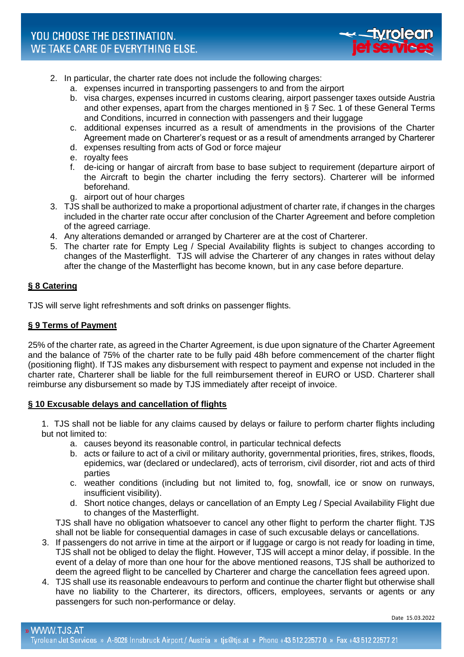

- 2. In particular, the charter rate does not include the following charges:
	- a. expenses incurred in transporting passengers to and from the airport
	- b. visa charges, expenses incurred in customs clearing, airport passenger taxes outside Austria and other expenses, apart from the charges mentioned in § 7 Sec. 1 of these General Terms and Conditions, incurred in connection with passengers and their luggage
	- c. additional expenses incurred as a result of amendments in the provisions of the Charter Agreement made on Charterer's request or as a result of amendments arranged by Charterer
	- d. expenses resulting from acts of God or force majeur
	- e. royalty fees
	- f. de-icing or hangar of aircraft from base to base subject to requirement (departure airport of the Aircraft to begin the charter including the ferry sectors). Charterer will be informed beforehand.
	- g. airport out of hour charges
- 3. TJS shall be authorized to make a proportional adjustment of charter rate, if changes in the charges included in the charter rate occur after conclusion of the Charter Agreement and before completion of the agreed carriage.
- 4. Any alterations demanded or arranged by Charterer are at the cost of Charterer.
- 5. The charter rate for Empty Leg / Special Availability flights is subject to changes according to changes of the Masterflight. TJS will advise the Charterer of any changes in rates without delay after the change of the Masterflight has become known, but in any case before departure.

# **§ 8 Catering**

TJS will serve light refreshments and soft drinks on passenger flights.

# **§ 9 Terms of Payment**

25% of the charter rate, as agreed in the Charter Agreement, is due upon signature of the Charter Agreement and the balance of 75% of the charter rate to be fully paid 48h before commencement of the charter flight (positioning flight). If TJS makes any disbursement with respect to payment and expense not included in the charter rate, Charterer shall be liable for the full reimbursement thereof in EURO or USD. Charterer shall reimburse any disbursement so made by TJS immediately after receipt of invoice.

# **§ 10 Excusable delays and cancellation of flights**

1. TJS shall not be liable for any claims caused by delays or failure to perform charter flights including but not limited to:

- a. causes beyond its reasonable control, in particular technical defects
- b. acts or failure to act of a civil or military authority, governmental priorities, fires, strikes, floods, epidemics, war (declared or undeclared), acts of terrorism, civil disorder, riot and acts of third parties
- c. weather conditions (including but not limited to, fog, snowfall, ice or snow on runways, insufficient visibility).
- d. Short notice changes, delays or cancellation of an Empty Leg / Special Availability Flight due to changes of the Masterflight.

TJS shall have no obligation whatsoever to cancel any other flight to perform the charter flight. TJS shall not be liable for consequential damages in case of such excusable delays or cancellations.

- 3. If passengers do not arrive in time at the airport or if luggage or cargo is not ready for loading in time, TJS shall not be obliged to delay the flight. However, TJS will accept a minor delay, if possible. In the event of a delay of more than one hour for the above mentioned reasons, TJS shall be authorized to deem the agreed flight to be cancelled by Charterer and charge the cancellation fees agreed upon.
- 4. TJS shall use its reasonable endeavours to perform and continue the charter flight but otherwise shall have no liability to the Charterer, its directors, officers, employees, servants or agents or any passengers for such non-performance or delay.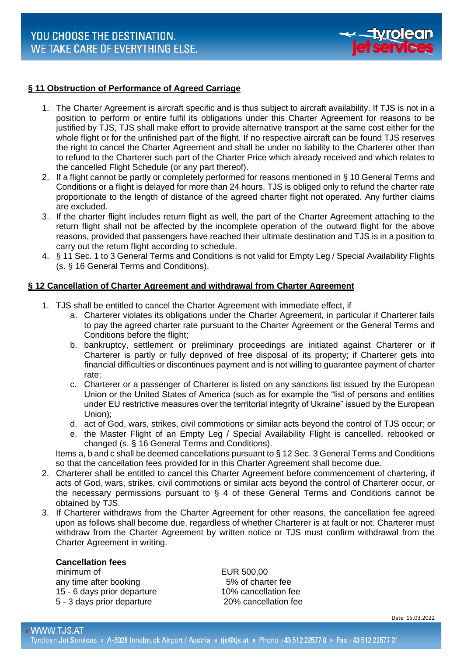

# **§ 11 Obstruction of Performance of Agreed Carriage**

- 1. The Charter Agreement is aircraft specific and is thus subject to aircraft availability. If TJS is not in a position to perform or entire fulfil its obligations under this Charter Agreement for reasons to be justified by TJS, TJS shall make effort to provide alternative transport at the same cost either for the whole flight or for the unfinished part of the flight. If no respective aircraft can be found TJS reserves the right to cancel the Charter Agreement and shall be under no liability to the Charterer other than to refund to the Charterer such part of the Charter Price which already received and which relates to the cancelled Flight Schedule (or any part thereof).
- 2. If a flight cannot be partly or completely performed for reasons mentioned in § 10 General Terms and Conditions or a flight is delayed for more than 24 hours, TJS is obliged only to refund the charter rate proportionate to the length of distance of the agreed charter flight not operated. Any further claims are excluded.
- 3. If the charter flight includes return flight as well, the part of the Charter Agreement attaching to the return flight shall not be affected by the incomplete operation of the outward flight for the above reasons, provided that passengers have reached their ultimate destination and TJS is in a position to carry out the return flight according to schedule.
- 4. § 11 Sec. 1 to 3 General Terms and Conditions is not valid for Empty Leg / Special Availability Flights (s. § 16 General Terms and Conditions).

# **§ 12 Cancellation of Charter Agreement and withdrawal from Charter Agreement**

- 1. TJS shall be entitled to cancel the Charter Agreement with immediate effect, if
	- a. Charterer violates its obligations under the Charter Agreement, in particular if Charterer fails to pay the agreed charter rate pursuant to the Charter Agreement or the General Terms and Conditions before the flight;
	- b. bankruptcy, settlement or preliminary proceedings are initiated against Charterer or if Charterer is partly or fully deprived of free disposal of its property; if Charterer gets into financial difficulties or discontinues payment and is not willing to guarantee payment of charter rate;
	- c. Charterer or a passenger of Charterer is listed on any sanctions list issued by the European Union or the United States of America (such as for example the "list of persons and entities under EU restrictive measures over the territorial integrity of Ukraine" issued by the European Union);
	- d. act of God, wars, strikes, civil commotions or similar acts beyond the control of TJS occur; or
	- e. the Master Flight of an Empty Leg / Special Availability Flight is cancelled, rebooked or changed (s. § 16 General Terms and Conditions).

Items a, b and c shall be deemed cancellations pursuant to § 12 Sec. 3 General Terms and Conditions so that the cancellation fees provided for in this Charter Agreement shall become due.

- 2. Charterer shall be entitled to cancel this Charter Agreement before commencement of chartering, if acts of God, wars, strikes, civil commotions or similar acts beyond the control of Charterer occur, or the necessary permissions pursuant to  $\S$  4 of these General Terms and Conditions cannot be obtained by TJS.
- 3. If Charterer withdraws from the Charter Agreement for other reasons, the cancellation fee agreed upon as follows shall become due, regardless of whether Charterer is at fault or not. Charterer must withdraw from the Charter Agreement by written notice or TJS must confirm withdrawal from the Charter Agreement in writing.

# **Cancellation fees**

minimum of **EUR 500.00** any time after booking any time after booking 15 - 6 days prior departure 10% cancellation fee 5 - 3 days prior departure 20% cancellation fee

Date 15.03.2022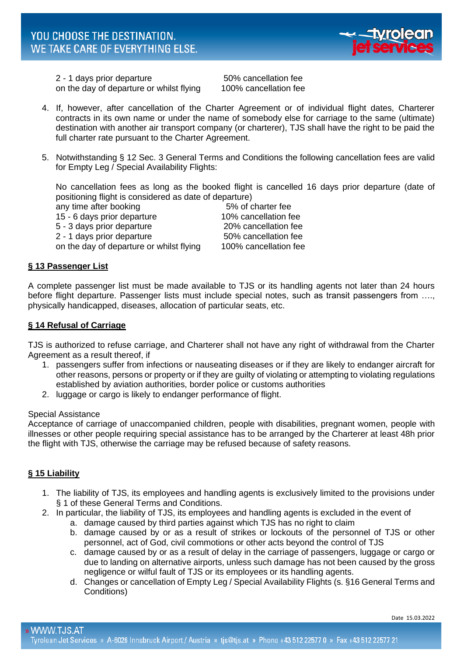

2 - 1 days prior departure 50% cancellation fee on the day of departure or whilst flying 100% cancellation fee

- 4. If, however, after cancellation of the Charter Agreement or of individual flight dates, Charterer contracts in its own name or under the name of somebody else for carriage to the same (ultimate) destination with another air transport company (or charterer), TJS shall have the right to be paid the full charter rate pursuant to the Charter Agreement.
- 5. Notwithstanding § 12 Sec. 3 General Terms and Conditions the following cancellation fees are valid for Empty Leg / Special Availability Flights:

No cancellation fees as long as the booked flight is cancelled 16 days prior departure (date of positioning flight is considered as date of departure)

any time after booking any time after booking 15 - 6 days prior departure 10% cancellation fee 5 - 3 days prior departure 20% cancellation fee 2 - 1 days prior departure 50% cancellation fee on the day of departure or whilst flying 100% cancellation fee

# **§ 13 Passenger List**

A complete passenger list must be made available to TJS or its handling agents not later than 24 hours before flight departure. Passenger lists must include special notes, such as transit passengers from …., physically handicapped, diseases, allocation of particular seats, etc.

# **§ 14 Refusal of Carriage**

TJS is authorized to refuse carriage, and Charterer shall not have any right of withdrawal from the Charter Agreement as a result thereof, if

- 1. passengers suffer from infections or nauseating diseases or if they are likely to endanger aircraft for other reasons, persons or property or if they are guilty of violating or attempting to violating regulations established by aviation authorities, border police or customs authorities
- 2. luggage or cargo is likely to endanger performance of flight.

### Special Assistance

Acceptance of carriage of unaccompanied children, people with disabilities, pregnant women, people with illnesses or other people requiring special assistance has to be arranged by the Charterer at least 48h prior the flight with TJS, otherwise the carriage may be refused because of safety reasons.

# **§ 15 Liability**

- 1. The liability of TJS, its employees and handling agents is exclusively limited to the provisions under § 1 of these General Terms and Conditions.
- 2. In particular, the liability of TJS, its employees and handling agents is excluded in the event of
	- a. damage caused by third parties against which TJS has no right to claim
	- b. damage caused by or as a result of strikes or lockouts of the personnel of TJS or other personnel, act of God, civil commotions or other acts beyond the control of TJS
	- c. damage caused by or as a result of delay in the carriage of passengers, luggage or cargo or due to landing on alternative airports, unless such damage has not been caused by the gross negligence or wilful fault of TJS or its employees or its handling agents.
	- d. Changes or cancellation of Empty Leg / Special Availability Flights (s. §16 General Terms and Conditions)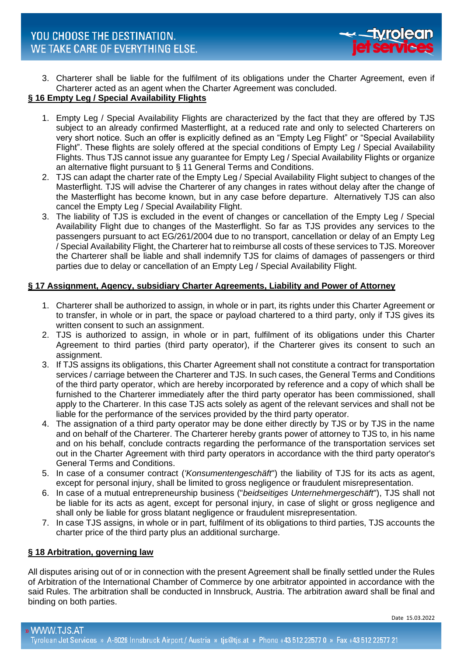

3. Charterer shall be liable for the fulfilment of its obligations under the Charter Agreement, even if Charterer acted as an agent when the Charter Agreement was concluded.

# **§ 16 Empty Leg / Special Availability Flights**

- 1. Empty Leg / Special Availability Flights are characterized by the fact that they are offered by TJS subject to an already confirmed Masterflight, at a reduced rate and only to selected Charterers on very short notice. Such an offer is explicitly defined as an "Empty Leg Flight" or "Special Availability Flight". These flights are solely offered at the special conditions of Empty Leg / Special Availability Flights. Thus TJS cannot issue any guarantee for Empty Leg / Special Availability Flights or organize an alternative flight pursuant to § 11 General Terms and Conditions.
- 2. TJS can adapt the charter rate of the Empty Leg / Special Availability Flight subject to changes of the Masterflight. TJS will advise the Charterer of any changes in rates without delay after the change of the Masterflight has become known, but in any case before departure. Alternatively TJS can also cancel the Empty Leg / Special Availability Flight.
- 3. The liability of TJS is excluded in the event of changes or cancellation of the Empty Leg / Special Availability Flight due to changes of the Masterflight. So far as TJS provides any services to the passengers pursuant to act EG/261/2004 due to no transport, cancellation or delay of an Empty Leg / Special Availability Flight, the Charterer hat to reimburse all costs of these services to TJS. Moreover the Charterer shall be liable and shall indemnify TJS for claims of damages of passengers or third parties due to delay or cancellation of an Empty Leg / Special Availability Flight.

# **§ 17 Assignment, Agency, subsidiary Charter Agreements, Liability and Power of Attorney**

- 1. Charterer shall be authorized to assign, in whole or in part, its rights under this Charter Agreement or to transfer, in whole or in part, the space or payload chartered to a third party, only if TJS gives its written consent to such an assignment.
- 2. TJS is authorized to assign, in whole or in part, fulfilment of its obligations under this Charter Agreement to third parties (third party operator), if the Charterer gives its consent to such an assignment.
- 3. If TJS assigns its obligations, this Charter Agreement shall not constitute a contract for transportation services / carriage between the Charterer and TJS. In such cases, the General Terms and Conditions of the third party operator, which are hereby incorporated by reference and a copy of which shall be furnished to the Charterer immediately after the third party operator has been commissioned, shall apply to the Charterer. In this case TJS acts solely as agent of the relevant services and shall not be liable for the performance of the services provided by the third party operator.
- 4. The assignation of a third party operator may be done either directly by TJS or by TJS in the name and on behalf of the Charterer. The Charterer hereby grants power of attorney to TJS to, in his name and on his behalf, conclude contracts regarding the performance of the transportation services set out in the Charter Agreement with third party operators in accordance with the third party operator's General Terms and Conditions.
- 5. In case of a consumer contract (*'Konsumentengeschäft*") the liability of TJS for its acts as agent, except for personal injury, shall be limited to gross negligence or fraudulent misrepresentation.
- 6. In case of a mutual entrepreneurship business ("*beidseitiges Unternehmergeschäft*"), TJS shall not be liable for its acts as agent, except for personal injury, in case of slight or gross negligence and shall only be liable for gross blatant negligence or fraudulent misrepresentation.
- 7. In case TJS assigns, in whole or in part, fulfilment of its obligations to third parties, TJS accounts the charter price of the third party plus an additional surcharge.

# **§ 18 Arbitration, governing law**

All disputes arising out of or in connection with the present Agreement shall be finally settled under the Rules of Arbitration of the International Chamber of Commerce by one arbitrator appointed in accordance with the said Rules. The arbitration shall be conducted in Innsbruck, Austria. The arbitration award shall be final and binding on both parties.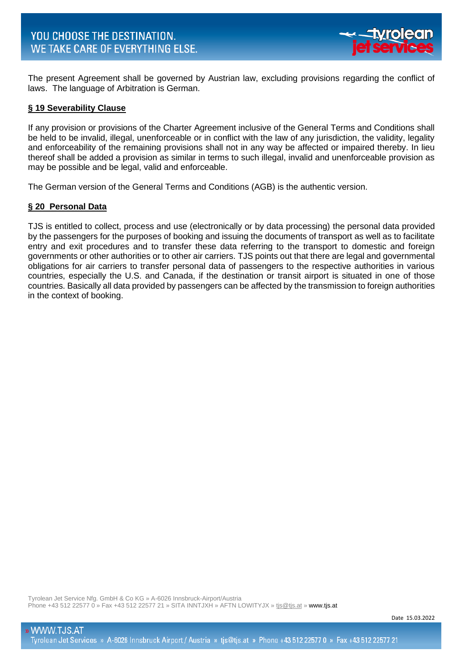

The present Agreement shall be governed by Austrian law, excluding provisions regarding the conflict of laws. The language of Arbitration is German.

# **§ 19 Severability Clause**

If any provision or provisions of the Charter Agreement inclusive of the General Terms and Conditions shall be held to be invalid, illegal, unenforceable or in conflict with the law of any jurisdiction, the validity, legality and enforceability of the remaining provisions shall not in any way be affected or impaired thereby. In lieu thereof shall be added a provision as similar in terms to such illegal, invalid and unenforceable provision as may be possible and be legal, valid and enforceable.

The German version of the General Terms and Conditions (AGB) is the authentic version.

### **§ 20 Personal Data**

TJS is entitled to collect, process and use (electronically or by data processing) the personal data provided by the passengers for the purposes of booking and issuing the documents of transport as well as to facilitate entry and exit procedures and to transfer these data referring to the transport to domestic and foreign governments or other authorities or to other air carriers. TJS points out that there are legal and governmental obligations for air carriers to transfer personal data of passengers to the respective authorities in various countries, especially the U.S. and Canada, if the destination or transit airport is situated in one of those countries. Basically all data provided by passengers can be affected by the transmission to foreign authorities in the context of booking.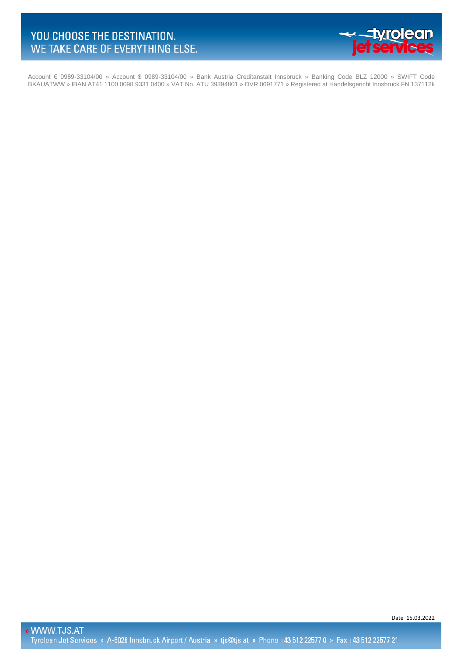

Account € 0989-33104/00 » Account \$ 0989-33104/00 » Bank Austria Creditanstalt Innsbruck » Banking Code BLZ 12000 » SWIFT Code BKAUATWW » IBAN AT41 1100 0098 9331 0400 » VAT No. ATU 39394801 » DVR 0691771 » Registered at Handelsgericht Innsbruck FN 137112k

Date 15.03.2022